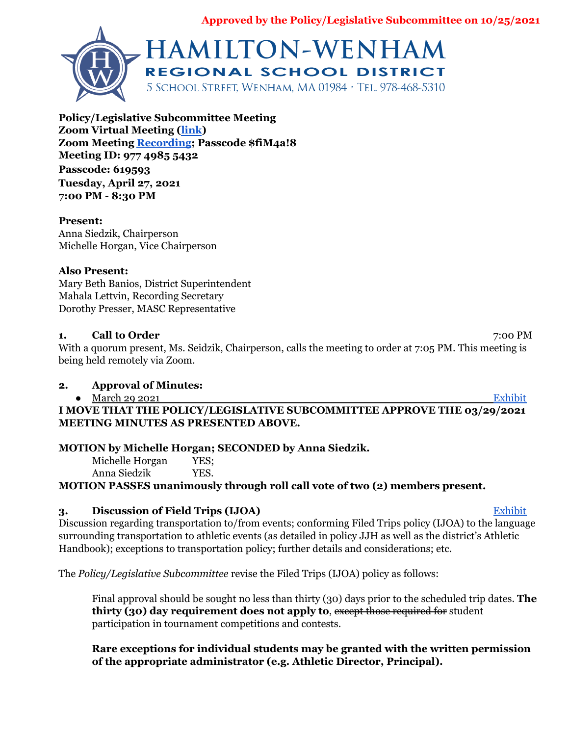**Approved by the Policy/Legislative Subcommittee on 10/25/2021**



**Policy/Legislative Subcommittee Meeting Zoom Virtual Meeting [\(link](https://zoom.us/j/97749855432?pwd=TktaLzBMSkwzbjZVczlzSm94bitrdz09)) Zoom Meeting [Recording;](https://zoom.us/rec/share/sFSQqTSUS05YDtXUEfczs3OFXhYyUJZmDaZvwvaFPHpkL5QrFNa-78bO5PsLdrdW.jtsxay_MJecoSoW9) Passcode \$fiM4a!8 Meeting ID: 977 4985 5432 Passcode: 619593 Tuesday, April 27, 2021 7:00 PM - 8:30 PM**

#### **Present:**

Anna Siedzik, Chairperson Michelle Horgan, Vice Chairperson

#### **Also Present:**

Mary Beth Banios, District Superintendent Mahala Lettvin, Recording Secretary Dorothy Presser, MASC Representative

#### **1. Call to Order** 7:00 PM

With a quorum present, Ms. Seidzik, Chairperson, calls the meeting to order at 7:05 PM. This meeting is being held remotely via Zoom.

### **2. Approval of Minutes:**

● March 29 2021 [Exhibit](https://drive.google.com/file/d/1Jr0CZU1pkBDm46tJCf_7wjyRSWHuiR-L/view?usp=sharing)

**I MOVE THAT THE POLICY/LEGISLATIVE SUBCOMMITTEE APPROVE THE 03/29/2021 MEETING MINUTES AS PRESENTED ABOVE.**

### **MOTION by Michelle Horgan; SECONDED by Anna Siedzik.**

Michelle Horgan YES; Anna Siedzik YES.

**MOTION PASSES unanimously through roll call vote of two (2) members present.**

# **3. Discussion of Field Trips (IJOA)** [Exhibit](https://drive.google.com/file/d/1UXF1dLnEOQhA0uBQlEQFXs-V1Yvq1tpc/view?usp=sharing)

Discussion regarding transportation to/from events; conforming Filed Trips policy (IJOA) to the language surrounding transportation to athletic events (as detailed in policy JJH as well as the district's Athletic Handbook); exceptions to transportation policy; further details and considerations; etc.

The *Policy/Legislative Subcommittee* revise the Filed Trips (IJOA) policy as follows:

Final approval should be sought no less than thirty (30) days prior to the scheduled trip dates. **The thirty (30) day requirement does not apply to**, except those required for student participation in tournament competitions and contests.

## **Rare exceptions for individual students may be granted with the written permission of the appropriate administrator (e.g. Athletic Director, Principal).**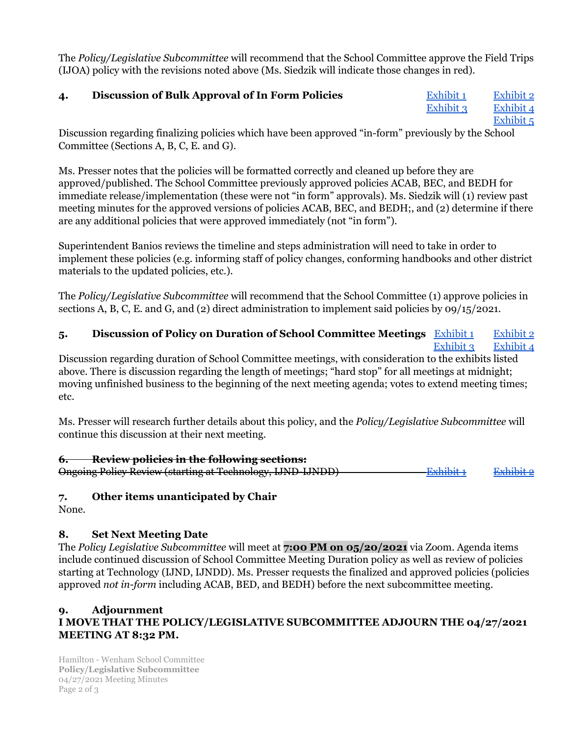The *Policy/Legislative Subcommittee* will recommend that the School Committee approve the Field Trips (IJOA) policy with the revisions noted above (Ms. Siedzik will indicate those changes in red).

# **4. Discussion of Bulk Approval of In Form Policies** [Exhibit](https://drive.google.com/file/d/17qPfNPwWlzo-FA4_AhTbgIPwg2jXZtCf/view?usp=sharing) 1 [Exhibit](https://drive.google.com/file/d/1rtYVRmUBa7J6kjQmekcK1DewssgjVt8T/view?usp=sharing) 2

[Exhibit](https://drive.google.com/file/d/1jggcsJ0MLSVy874jf0-fKWZj3DSv6o70/view?usp=sharing) 3 [Exhibit](https://drive.google.com/file/d/18fxYnxXSCR589NzwIPbw-FUySsW-Jk2h/view?usp=sharing) 4 [Exhibit](https://drive.google.com/file/d/1JU0vFTCSB1ih8OXDtSh26FgXPlSNzais/view?usp=sharing) 5

Discussion regarding finalizing policies which have been approved "in-form" previously by the School Committee (Sections A, B, C, E. and G).

Ms. Presser notes that the policies will be formatted correctly and cleaned up before they are approved/published. The School Committee previously approved policies ACAB, BEC, and BEDH for immediate release/implementation (these were not "in form" approvals). Ms. Siedzik will (1) review past meeting minutes for the approved versions of policies ACAB, BEC, and BEDH;, and (2) determine if there are any additional policies that were approved immediately (not "in form").

Superintendent Banios reviews the timeline and steps administration will need to take in order to implement these policies (e.g. informing staff of policy changes, conforming handbooks and other district materials to the updated policies, etc.).

The *Policy/Legislative Subcommittee* will recommend that the School Committee (1) approve policies in sections A, B, C, E. and G, and (2) direct administration to implement said policies by 09/15/2021.

### **5. Discussion of Policy on Duration of School Committee Meetings** [Exhibit](https://drive.google.com/file/d/1ecSNGpkS_R-66DrLiS2DqZg9u1-wijwn/view?usp=sharing) 1 [Exhibit](https://drive.google.com/file/d/1Rpl4lwfKisMGEC1syK4sE4FaLHR7-KQ2/view?usp=sharing) 2 [Exhibit](https://drive.google.com/file/d/1TiXf_dFxx0MMtI5VlmU9HK11nlkOoFiY/view?usp=sharing) 3 [Exhibit](https://drive.google.com/file/d/1PADP3tMBfFgjjxg9_JfE97Id_lvMW2vD/view?usp=sharing) 4

Discussion regarding duration of School Committee meetings, with consideration to the exhibits listed above. There is discussion regarding the length of meetings; "hard stop" for all meetings at midnight; moving unfinished business to the beginning of the next meeting agenda; votes to extend meeting times; etc.

Ms. Presser will research further details about this policy, and the *Policy/Legislative Subcommittee* will continue this discussion at their next meeting.

### **6. Review policies in the following sections:**

Ongoing Policy Review (starting at Technology, IJND-IJNDD) [Exhibit](https://drive.google.com/file/d/1JJZiET4XKCVsVRulE_LzKsMcd-q-sMNw/view?usp=sharing) 1 Exhibit 2

### **7. Other items unanticipated by Chair**

None.

# **8. Set Next Meeting Date**

The *Policy Legislative Subcommittee* will meet at **7:00 PM on 05/20/2021** via Zoom. Agenda items include continued discussion of School Committee Meeting Duration policy as well as review of policies starting at Technology (IJND, IJNDD). Ms. Presser requests the finalized and approved policies (policies approved *not in-form* including ACAB, BED, and BEDH) before the next subcommittee meeting.

#### **9. Adjournment I MOVE THAT THE POLICY/LEGISLATIVE SUBCOMMITTEE ADJOURN THE 04/27/2021 MEETING AT 8:32 PM.**

Hamilton - Wenham School Committee **Policy/Legislative Subcommittee** 04/27/2021 Meeting Minutes Page 2 of 3